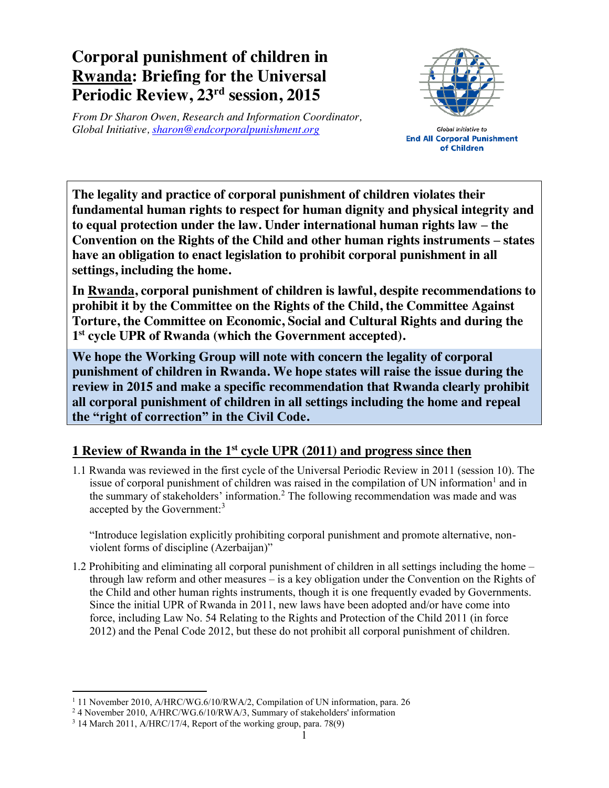## **Corporal punishment of children in Rwanda: Briefing for the Universal Periodic Review, 23rd session, 2015**

*From Dr Sharon Owen, Research and Information Coordinator, Global Initiative, sharon@endcorporalpunishment.org*



Global Initiative to **End All Corporal Punishment** of Children

**The legality and practice of corporal punishment of children violates their fundamental human rights to respect for human dignity and physical integrity and to equal protection under the law. Under international human rights law – the Convention on the Rights of the Child and other human rights instruments – states have an obligation to enact legislation to prohibit corporal punishment in all settings, including the home.**

**In Rwanda, corporal punishment of children is lawful, despite recommendations to prohibit it by the Committee on the Rights of the Child, the Committee Against Torture, the Committee on Economic, Social and Cultural Rights and during the 1st cycle UPR of Rwanda (which the Government accepted).**

**We hope the Working Group will note with concern the legality of corporal punishment of children in Rwanda. We hope states will raise the issue during the review in 2015 and make a specific recommendation that Rwanda clearly prohibit all corporal punishment of children in all settings including the home and repeal the "right of correction" in the Civil Code.**

## **1 Review of Rwanda in the 1st cycle UPR (2011) and progress since then**

1.1 Rwanda was reviewed in the first cycle of the Universal Periodic Review in 2011 (session 10). The issue of corporal punishment of children was raised in the compilation of UN information<sup>1</sup> and in the summary of stakeholders' information.<sup>2</sup> The following recommendation was made and was accepted by the Government:<sup>3</sup>

"Introduce legislation explicitly prohibiting corporal punishment and promote alternative, nonviolent forms of discipline (Azerbaijan)"

1.2 Prohibiting and eliminating all corporal punishment of children in all settings including the home – through law reform and other measures – is a key obligation under the Convention on the Rights of the Child and other human rights instruments, though it is one frequently evaded by Governments. Since the initial UPR of Rwanda in 2011, new laws have been adopted and/or have come into force, including Law No. 54 Relating to the Rights and Protection of the Child 2011 (in force 2012) and the Penal Code 2012, but these do not prohibit all corporal punishment of children.

<sup>&</sup>lt;sup>1</sup> 11 November 2010, A/HRC/WG.6/10/RWA/2, Compilation of UN information, para. 26

<sup>2</sup> 4 November 2010, A/HRC/WG.6/10/RWA/3, Summary of stakeholders' information

<sup>3</sup> 14 March 2011, A/HRC/17/4, Report of the working group, para. 78(9)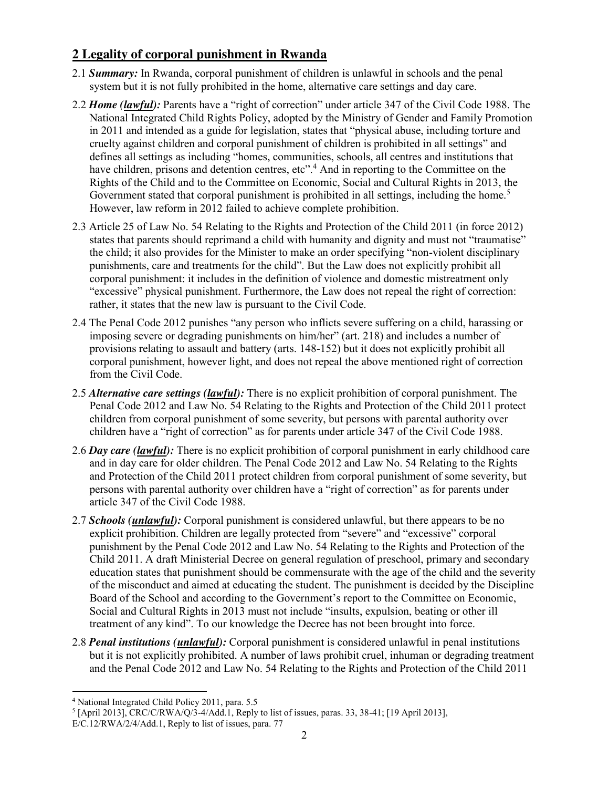## **2 Legality of corporal punishment in Rwanda**

- 2.1 *Summary:* In Rwanda, corporal punishment of children is unlawful in schools and the penal system but it is not fully prohibited in the home, alternative care settings and day care.
- 2.2 *Home (lawful):* Parents have a "right of correction" under article 347 of the Civil Code 1988. The National Integrated Child Rights Policy, adopted by the Ministry of Gender and Family Promotion in 2011 and intended as a guide for legislation, states that "physical abuse, including torture and cruelty against children and corporal punishment of children is prohibited in all settings" and defines all settings as including "homes, communities, schools, all centres and institutions that have children, prisons and detention centres, etc".<sup>4</sup> And in reporting to the Committee on the Rights of the Child and to the Committee on Economic, Social and Cultural Rights in 2013, the Government stated that corporal punishment is prohibited in all settings, including the home.<sup>5</sup> However, law reform in 2012 failed to achieve complete prohibition.
- 2.3 Article 25 of Law No. 54 Relating to the Rights and Protection of the Child 2011 (in force 2012) states that parents should reprimand a child with humanity and dignity and must not "traumatise" the child; it also provides for the Minister to make an order specifying "non-violent disciplinary punishments, care and treatments for the child". But the Law does not explicitly prohibit all corporal punishment: it includes in the definition of violence and domestic mistreatment only "excessive" physical punishment. Furthermore, the Law does not repeal the right of correction: rather, it states that the new law is pursuant to the Civil Code.
- 2.4 The Penal Code 2012 punishes "any person who inflicts severe suffering on a child, harassing or imposing severe or degrading punishments on him/her" (art. 218) and includes a number of provisions relating to assault and battery (arts. 148-152) but it does not explicitly prohibit all corporal punishment, however light, and does not repeal the above mentioned right of correction from the Civil Code.
- 2.5 *Alternative care settings (lawful):* There is no explicit prohibition of corporal punishment. The Penal Code 2012 and Law No. 54 Relating to the Rights and Protection of the Child 2011 protect children from corporal punishment of some severity, but persons with parental authority over children have a "right of correction" as for parents under article 347 of the Civil Code 1988.
- 2.6 *Day care (lawful):* There is no explicit prohibition of corporal punishment in early childhood care and in day care for older children. The Penal Code 2012 and Law No. 54 Relating to the Rights and Protection of the Child 2011 protect children from corporal punishment of some severity, but persons with parental authority over children have a "right of correction" as for parents under article 347 of the Civil Code 1988.
- 2.7 *Schools (unlawful):* Corporal punishment is considered unlawful, but there appears to be no explicit prohibition. Children are legally protected from "severe" and "excessive" corporal punishment by the Penal Code 2012 and Law No. 54 Relating to the Rights and Protection of the Child 2011. A draft Ministerial Decree on general regulation of preschool, primary and secondary education states that punishment should be commensurate with the age of the child and the severity of the misconduct and aimed at educating the student. The punishment is decided by the Discipline Board of the School and according to the Government's report to the Committee on Economic, Social and Cultural Rights in 2013 must not include "insults, expulsion, beating or other ill treatment of any kind". To our knowledge the Decree has not been brought into force.
- 2.8 *Penal institutions (unlawful):* Corporal punishment is considered unlawful in penal institutions but it is not explicitly prohibited. A number of laws prohibit cruel, inhuman or degrading treatment and the Penal Code 2012 and Law No. 54 Relating to the Rights and Protection of the Child 2011

 <sup>4</sup> National Integrated Child Policy 2011, para. 5.5

 $<sup>5</sup>$  [April 2013], CRC/C/RWA/O/3-4/Add.1, Reply to list of issues, paras. 33, 38-41; [19 April 2013],</sup>

E/C.12/RWA/2/4/Add.1, Reply to list of issues, para. 77